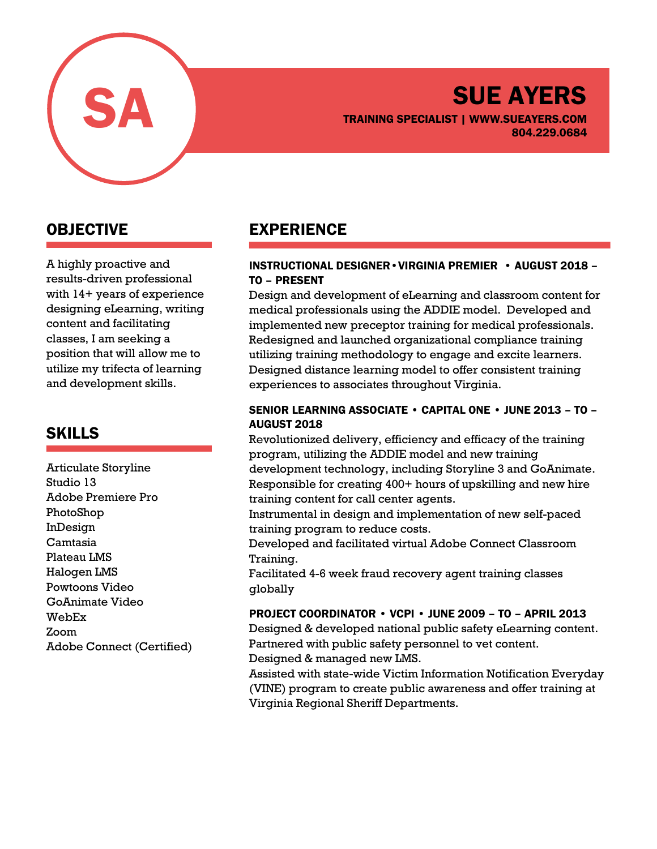

# SUE AYERS TRAINING SPECIALIST | WWW.SUEAYERS.COM 804.229.0684

# OBJECTIVE

A highly proactive and results-driven professional with 14+ years of experience designing eLearning, writing content and facilitating classes, I am seeking a position that will allow me to utilize my trifecta of learning and development skills.

## SKILLS

Articulate Storyline Studio 13 Adobe Premiere Pro PhotoShop InDesign Camtasia Plateau LMS Halogen LMS Powtoons Video GoAnimate Video WebEx Zoom Adobe Connect (Certified)

# EXPERIENCE

#### INSTRUCTIONAL DESIGNER•VIRGINIA PREMIER • AUGUST 2018 – TO – PRESENT

Design and development of eLearning and classroom content for medical professionals using the ADDIE model. Developed and implemented new preceptor training for medical professionals. Redesigned and launched organizational compliance training utilizing training methodology to engage and excite learners. Designed distance learning model to offer consistent training experiences to associates throughout Virginia.

#### SENIOR LEARNING ASSOCIATE • CAPITAL ONE • JUNE 2013 – TO – AUGUST 2018

Revolutionized delivery, efficiency and efficacy of the training program, utilizing the ADDIE model and new training development technology, including Storyline 3 and GoAnimate. Responsible for creating 400+ hours of upskilling and new hire training content for call center agents.

Instrumental in design and implementation of new self-paced training program to reduce costs.

Developed and facilitated virtual Adobe Connect Classroom Training.

Facilitated 4-6 week fraud recovery agent training classes globally

#### PROJECT COORDINATOR • VCPI • JUNE 2009 – TO – APRIL 2013

Designed & developed national public safety eLearning content. Partnered with public safety personnel to vet content. Designed & managed new LMS.

Assisted with state-wide Victim Information Notification Everyday (VINE) program to create public awareness and offer training at Virginia Regional Sheriff Departments.